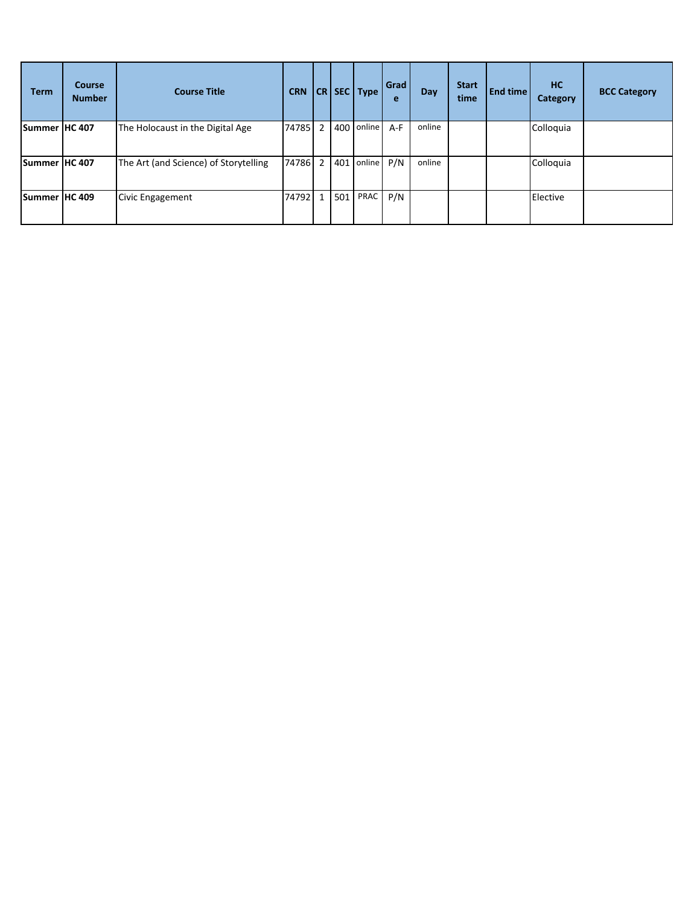| Term          | <b>Course</b><br><b>Number</b> | <b>Course Title</b>                   | <b>CRN</b> |     | $ CR $ SEC $ Type $ | Grad<br>e | Day    | <b>Start</b><br>time | <b>End time</b> | <b>HC</b><br>Category | <b>BCC Category</b> |
|---------------|--------------------------------|---------------------------------------|------------|-----|---------------------|-----------|--------|----------------------|-----------------|-----------------------|---------------------|
| Summer HC 407 |                                | The Holocaust in the Digital Age      | 74785 2    |     | 400 online          | $A-F$     | online |                      |                 | Colloquia             |                     |
| Summer HC 407 |                                | The Art (and Science) of Storytelling | 74786 2    |     | 401 online P/N      |           | online |                      |                 | Colloquia             |                     |
| Summer HC 409 |                                | Civic Engagement                      | 74792 1    | 501 | PRAC                | P/N       |        |                      |                 | Elective              |                     |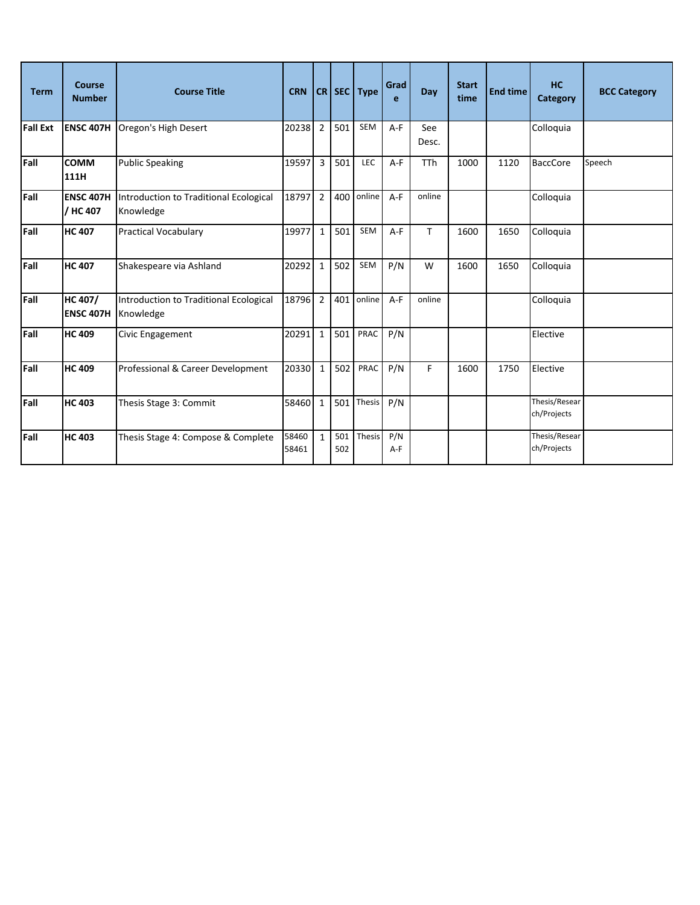| <b>Term</b>     | <b>Course</b><br><b>Number</b>     | <b>Course Title</b>                                 | <b>CRN</b>     |                | $ CR $ SEC | <b>Type</b> | Grad<br>e  | Day          | <b>Start</b><br>time | <b>End time</b> | HC<br>Category               | <b>BCC Category</b> |
|-----------------|------------------------------------|-----------------------------------------------------|----------------|----------------|------------|-------------|------------|--------------|----------------------|-----------------|------------------------------|---------------------|
| <b>Fall Ext</b> | <b>ENSC 407H</b>                   | Oregon's High Desert                                | 20238          | $\overline{2}$ | 501        | <b>SEM</b>  | $A-F$      | See<br>Desc. |                      |                 | Colloquia                    |                     |
| Fall            | <b>COMM</b><br>111H                | <b>Public Speaking</b>                              | 19597          | $\overline{3}$ | 501        | LEC         | A-F        | <b>TTh</b>   | 1000                 | 1120            | <b>BaccCore</b>              | Speech              |
| Fall            | <b>ENSC 407H</b><br>/ HC 407       | Introduction to Traditional Ecological<br>Knowledge | 18797          | $\overline{2}$ | 400        | online      | $A-F$      | online       |                      |                 | Colloquia                    |                     |
| Fall            | <b>HC 407</b>                      | <b>Practical Vocabulary</b>                         | 19977          | $\mathbf{1}$   | 501        | SEM         | $A-F$      | T            | 1600                 | 1650            | Colloquia                    |                     |
| Fall            | <b>HC 407</b>                      | Shakespeare via Ashland                             | 20292          | $\mathbf{1}$   | 502        | <b>SEM</b>  | P/N        | W            | 1600                 | 1650            | Colloquia                    |                     |
| Fall            | <b>HC 407/</b><br><b>ENSC 407H</b> | Introduction to Traditional Ecological<br>Knowledge | 18796          | $\overline{2}$ | 401        | online      | $A-F$      | online       |                      |                 | Colloquia                    |                     |
| Fall            | <b>HC 409</b>                      | Civic Engagement                                    | 20291          | $\mathbf 1$    | 501        | PRAC        | P/N        |              |                      |                 | Elective                     |                     |
| Fall            | <b>HC 409</b>                      | Professional & Career Development                   | 20330          | $\mathbf{1}$   | 502        | PRAC        | P/N        | F            | 1600                 | 1750            | Elective                     |                     |
| Fall            | <b>HC 403</b>                      | Thesis Stage 3: Commit                              | 58460          | $\mathbf{1}$   | 501        | Thesis      | P/N        |              |                      |                 | Thesis/Resear<br>ch/Projects |                     |
| Fall            | <b>HC 403</b>                      | Thesis Stage 4: Compose & Complete                  | 58460<br>58461 | $\mathbf{1}$   | 501<br>502 | Thesis      | P/N<br>A-F |              |                      |                 | Thesis/Resear<br>ch/Projects |                     |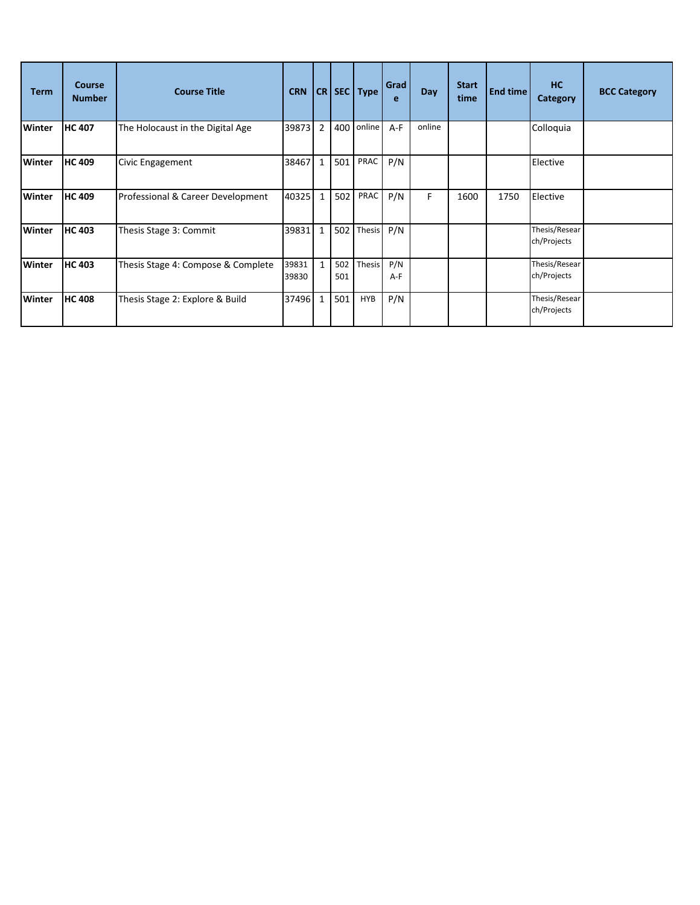| <b>Term</b>   | <b>Course</b><br><b>Number</b> | <b>Course Title</b>                | <b>CRN</b>     |                | $CR$ SEC   | <b>Type</b> | Grad<br>e  | Day    | <b>Start</b><br>time | End time | HC<br>Category               | <b>BCC Category</b> |
|---------------|--------------------------------|------------------------------------|----------------|----------------|------------|-------------|------------|--------|----------------------|----------|------------------------------|---------------------|
| <b>Winter</b> | <b>HC 407</b>                  | The Holocaust in the Digital Age   | 39873 2        |                | 400        | online      | A-F        | online |                      |          | Colloquia                    |                     |
| Winter        | <b>HC 409</b>                  | Civic Engagement                   | 38467          | $\overline{1}$ | 501        | PRAC        | P/N        |        |                      |          | Elective                     |                     |
| <b>Winter</b> | <b>HC 409</b>                  | Professional & Career Development  | 40325 1        |                | 502        | PRAC        | P/N        | F.     | 1600                 | 1750     | Elective                     |                     |
| <b>Winter</b> | <b>HC 403</b>                  | Thesis Stage 3: Commit             | 39831 1        |                | 502        | Thesis      | P/N        |        |                      |          | Thesis/Resear<br>ch/Projects |                     |
| Winter        | <b>HC 403</b>                  | Thesis Stage 4: Compose & Complete | 39831<br>39830 | $\overline{1}$ | 502<br>501 | Thesis      | P/N<br>A-F |        |                      |          | Thesis/Resear<br>ch/Projects |                     |
| <b>Winter</b> | <b>HC 408</b>                  | Thesis Stage 2: Explore & Build    | 37496 1        |                | 501        | <b>HYB</b>  | P/N        |        |                      |          | Thesis/Resear<br>ch/Projects |                     |